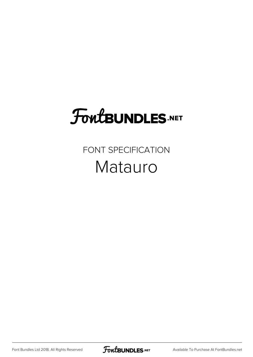# **FoutBUNDLES.NET**

### FONT SPECIFICATION Matauro

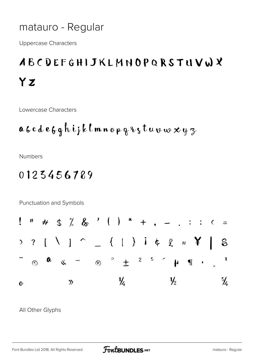#### matauro - Regular

**Uppercase Characters** 

## ABCDEFGHIJKLMNOPQRSTUVWX YZ

Lowercase Characters

$$
a\,b\,c\,d\,e\,f\,g\,h\,i\,j\,k\,l\,m\,n\,o\,\rho\,g\,\imath\,\varsigma\,t\,u\,\upsilon\,\omega\,\varkappa\,y\,\varsigma
$$

**Numbers** 

### 0123456789

Punctuation and Symbols



All Other Glyphs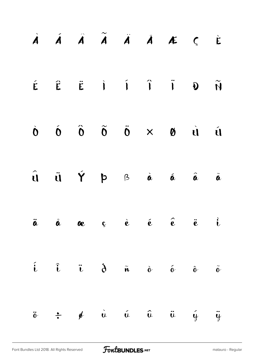|                 |  |  | À Á Ã Ã Ã À Å Æ Ç È                                                                                                                                                                                                                           |  |
|-----------------|--|--|-----------------------------------------------------------------------------------------------------------------------------------------------------------------------------------------------------------------------------------------------|--|
|                 |  |  | $\begin{array}{ccccccccccccccccc} \acute{E} & \hat{E} & \acute{E} & \dot{I} & \dot{I} & \dot{I} & \dot{I} & \dot{I} & \dot{I} \end{array}$                                                                                                    |  |
|                 |  |  | $\begin{array}{ccccccccccccccccc} \dot{\mathbf{0}} & \dot{\mathbf{0}} & \dot{\mathbf{0}} & \dot{\mathbf{0}} & \dot{\mathbf{0}} & \dot{\mathbf{0}} & \times & \mathbf{0} & \dot{\mathbf{0}} & \dot{\mathbf{0}} & \dot{\mathbf{0}} \end{array}$ |  |
|                 |  |  | $\hat{\mathbf{u}}$ $\hat{\mathbf{u}}$ $\hat{\mathbf{Y}}$ $\mathbf{p}$ $\hat{\mathbf{a}}$ $\hat{\mathbf{a}}$ $\hat{\mathbf{a}}$ $\hat{\mathbf{a}}$ $\hat{\mathbf{a}}$                                                                          |  |
|                 |  |  | $\ddot{a}$ $\ddot{a}$ $\alpha$ $c$ $\dot{e}$ $\ddot{e}$ $\ddot{e}$ $\ddot{e}$ $\ddot{e}$                                                                                                                                                      |  |
|                 |  |  | $\hat{i}$ $\hat{i}$ $\hat{u}$ $\hat{d}$ $\hat{n}$ $\hat{v}$ $\hat{v}$ $\hat{v}$                                                                                                                                                               |  |
| $\ddot{\theta}$ |  |  | $\div$ of $\dot{u}$ $\dot{u}$ $\ddot{u}$ $\ddot{u}$ $\dot{y}$ $\ddot{y}$                                                                                                                                                                      |  |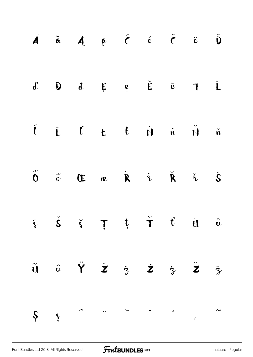|  | $\check{A}$ $\check{a}$ $A$ $\check{a}$ $\check{c}$ $\check{c}$ $\check{c}$ $\check{c}$ $\check{D}$                                                                                                                                              |  |  |  |
|--|--------------------------------------------------------------------------------------------------------------------------------------------------------------------------------------------------------------------------------------------------|--|--|--|
|  | $d \quad \mathbf{\theta} \quad d \quad \mathbf{\xi} \quad e \quad \check{\mathbf{\epsilon}} \quad \check{\mathbf{c}} \quad \mathbf{1} \quad \acute{\mathbf{L}}$                                                                                  |  |  |  |
|  | $\begin{array}{cccccccccccccc} \hat{L} & \hat{L} & \hat{C} & \textbf{t} & \textbf{t} & \textbf{t} & \hat{N} & \hat{n} & \hat{N} & \hat{n} \end{array}$                                                                                           |  |  |  |
|  | $\tilde{\mathbf{0}} \quad \tilde{\phi} \quad \mathbf{C} \quad \mathbf{C} \quad \mathbf{C} \quad \tilde{\mathbf{R}} \quad \tilde{\mathbf{A}} \quad \tilde{\mathbf{B}} \quad \tilde{\mathbf{A}} \quad \tilde{\mathbf{A}} \quad \tilde{\mathbf{A}}$ |  |  |  |
|  | $\check{s}$ $\check{\check{s}}$ $\check{\check{s}}$ $\uparrow$ $\check{\uparrow}$ $\check{\uparrow}$ $\check{\uparrow}$ $\check{u}$ $\overset{\circ}{u}$                                                                                         |  |  |  |
|  | $\tilde{u}$ $\tilde{u}$ $\tilde{Y}$ $\tilde{z}$ $\tilde{z}$ $\tilde{z}$ $\tilde{z}$ $\tilde{z}$                                                                                                                                                  |  |  |  |
|  | $\int$                                                                                                                                                                                                                                           |  |  |  |